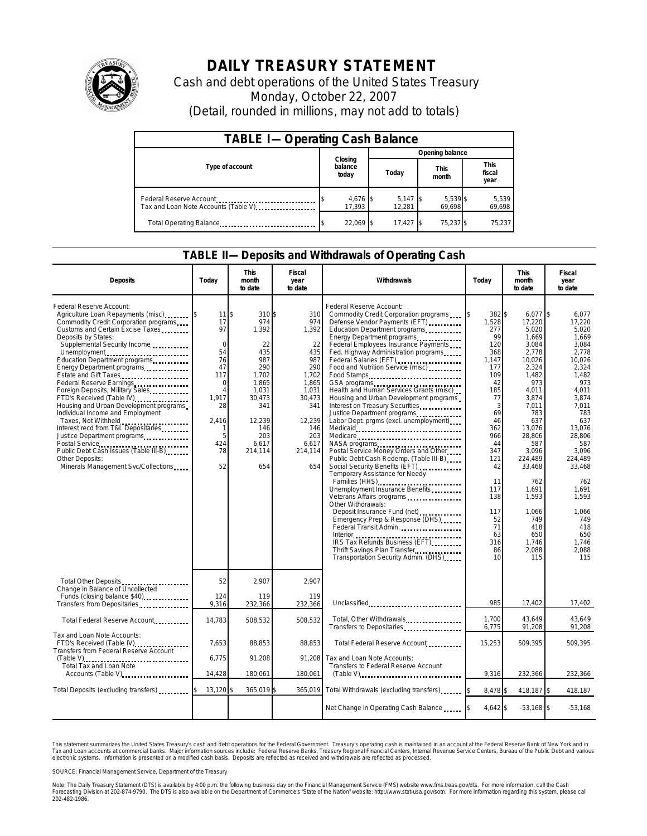

## **DAILY TREASURY STATEMENT**

Cash and debt operations of the United States Treasury Monday, October 22, 2007 (Detail, rounded in millions, may not add to totals)

| <b>TABLE I-Operating Cash Balance</b>                           |                             |                      |                      |                               |  |  |  |
|-----------------------------------------------------------------|-----------------------------|----------------------|----------------------|-------------------------------|--|--|--|
|                                                                 |                             | Opening balance      |                      |                               |  |  |  |
| Type of account                                                 | Closing<br>balance<br>today | Today                | <b>This</b><br>month | <b>This</b><br>fiscal<br>year |  |  |  |
| Federal Reserve Account<br>Tax and Loan Note Accounts (Table V) | 4,676 \$<br>17.393          | $5,147$ \$<br>12.281 | 5,539 \$<br>69.698   | 5,539<br>69.698               |  |  |  |
| Total Operating Balance                                         | 22,069 \$                   | 17.427               | 75,237 \$            | 75.237                        |  |  |  |

## **TABLE II—Deposits and Withdrawals of Operating Cash**

| <b>Deposits</b>                                                                                                                                                                                                                                                                                                                                                                                                                                                                                                                                                                                                                                                             | Today                                                                                                                                                     | <b>This</b><br>month<br>to date                                                                                                                  | Fiscal<br>year<br>to date                                                                                                                     | Withdrawals                                                                                                                                                                                                                                                                                                                                                                                                                                                                                                                                                                                                                                                                                                                                                                                                                                                                                                                                                                                                                                     | Today                                                                                                                                                                                                         | <b>This</b><br>month<br>to date                                                                                                                                                                                                                                               | Fiscal<br>year<br>to date                                                                                                                                                                                                                                                |
|-----------------------------------------------------------------------------------------------------------------------------------------------------------------------------------------------------------------------------------------------------------------------------------------------------------------------------------------------------------------------------------------------------------------------------------------------------------------------------------------------------------------------------------------------------------------------------------------------------------------------------------------------------------------------------|-----------------------------------------------------------------------------------------------------------------------------------------------------------|--------------------------------------------------------------------------------------------------------------------------------------------------|-----------------------------------------------------------------------------------------------------------------------------------------------|-------------------------------------------------------------------------------------------------------------------------------------------------------------------------------------------------------------------------------------------------------------------------------------------------------------------------------------------------------------------------------------------------------------------------------------------------------------------------------------------------------------------------------------------------------------------------------------------------------------------------------------------------------------------------------------------------------------------------------------------------------------------------------------------------------------------------------------------------------------------------------------------------------------------------------------------------------------------------------------------------------------------------------------------------|---------------------------------------------------------------------------------------------------------------------------------------------------------------------------------------------------------------|-------------------------------------------------------------------------------------------------------------------------------------------------------------------------------------------------------------------------------------------------------------------------------|--------------------------------------------------------------------------------------------------------------------------------------------------------------------------------------------------------------------------------------------------------------------------|
| Federal Reserve Account:<br>Agriculture Loan Repayments (misc)<br>Commodity Credit Corporation programs<br>Customs and Certain Excise Taxes<br>Deposits by States:<br>Supplemental Security Income<br>Unemployment<br>Education Department programs<br>Energy Department programs<br>Estate and Gift Taxes<br>Foreign Deposits, Military Sales<br>FTD's Received (Table IV)<br>Housing and Urban Development programs<br>Individual Income and Employment<br>Taxes, Not Withheld<br>Interest recd from T&L Depositaries<br>Justice Department programs<br>Postal Service<br>Public Debt Cash Issues (Table III-B)<br>Other Deposits:<br>Minerals Management Svc/Collections | $11$ $\frac{1}{3}$<br>17<br>97<br>$\Omega$<br>54<br>76<br>47<br>117<br>$\mathbf 0$<br>$\overline{4}$<br>1,917<br>28<br>2,416<br>1<br>5<br>424<br>78<br>52 | 310 \$<br>974<br>1,392<br>22<br>435<br>987<br>290<br>1,702<br>1,865<br>1,031<br>30,473<br>341<br>12,239<br>146<br>203<br>6,617<br>214,114<br>654 | 310<br>974<br>1,392<br>22<br>435<br>987<br>290<br>1,702<br>1,865<br>1,031<br>30,473<br>341<br>12,239<br>146<br>203<br>6,617<br>214,114<br>654 | Federal Reserve Account:<br>Commodity Credit Corporation programs<br>Defense Vendor Payments (EFT)<br>Education Department programs<br>Energy Department programs<br>Federal Employees Insurance Payments<br>Fed. Highway Administration programs<br>Federal Salaries (EFT)<br>Food and Nutrition Service (misc)<br>Food Stamps<br>Health and Human Services Grants (misc)<br>Housing and Urban Development programs<br>Interest on Treasury Securities<br>Justice Department programs<br>Labor Dept. prgms (excl. unemployment)<br>Medicare<br>NASA programs<br>Postal Service Money Orders and Other<br>Public Debt Cash Redemp. (Table III-B)<br>Social Security Benefits (EFT)<br>Temporary Assistance for Needy<br>Families (HHS) <b></b><br>Unemployment Insurance Benefits<br>Veterans Affairs programs<br>Other Withdrawals:<br>Deposit Insurance Fund (net)<br><br>Emergency Prep & Response (DHS)<br>Federal Transit Admin.<br>IRS Tax Refunds Business (EFT)<br>Thrift Savings Plan Transfer<br>Transportation Security Admin. (DHS) | 382 \$<br>1,528<br>277<br>99<br>120<br>368<br>1.147<br>177<br>109<br>42<br>185<br>77<br>3<br>69<br>46<br>362<br>966<br>44<br>347<br>121<br>42<br>11<br>117<br>138<br>117<br>52<br>71<br>63<br>316<br>86<br>10 | $6.077$ \$<br>17,220<br>5,020<br>1,669<br>3,084<br>2,778<br>10,026<br>2,324<br>1,482<br>973<br>4,011<br>3,874<br>7,011<br>783<br>637<br>13,076<br>28,806<br>587<br>3,096<br>224,489<br>33,468<br>762<br>1,691<br>1,593<br>1,066<br>749<br>418<br>650<br>1,746<br>2,088<br>115 | 6.077<br>17.220<br>5,020<br>1.669<br>3.084<br>2.778<br>10.026<br>2.324<br>1,482<br>973<br>4,011<br>3,874<br>7.011<br>783<br>637<br>13,076<br>28,806<br>587<br>3.096<br>224.489<br>33,468<br>762<br>1,691<br>1,593<br>1.066<br>749<br>418<br>650<br>1,746<br>2,088<br>115 |
| Total Other Deposits<br>Change in Balance of Uncollected<br>Funds (closing balance \$40)                                                                                                                                                                                                                                                                                                                                                                                                                                                                                                                                                                                    | 52<br>124                                                                                                                                                 | 2.907<br>119                                                                                                                                     | 2.907<br>119                                                                                                                                  |                                                                                                                                                                                                                                                                                                                                                                                                                                                                                                                                                                                                                                                                                                                                                                                                                                                                                                                                                                                                                                                 |                                                                                                                                                                                                               |                                                                                                                                                                                                                                                                               |                                                                                                                                                                                                                                                                          |
| Transfers from Depositaries                                                                                                                                                                                                                                                                                                                                                                                                                                                                                                                                                                                                                                                 | 9,316                                                                                                                                                     | 232,366                                                                                                                                          | 232,366                                                                                                                                       | Unclassified                                                                                                                                                                                                                                                                                                                                                                                                                                                                                                                                                                                                                                                                                                                                                                                                                                                                                                                                                                                                                                    | 985                                                                                                                                                                                                           | 17,402                                                                                                                                                                                                                                                                        | 17,402                                                                                                                                                                                                                                                                   |
| Total Federal Reserve Account                                                                                                                                                                                                                                                                                                                                                                                                                                                                                                                                                                                                                                               | 14,783                                                                                                                                                    | 508,532                                                                                                                                          | 508,532                                                                                                                                       | Total, Other Withdrawals<br>Transfers to Depositaries                                                                                                                                                                                                                                                                                                                                                                                                                                                                                                                                                                                                                                                                                                                                                                                                                                                                                                                                                                                           | 1.700<br>6,775                                                                                                                                                                                                | 43,649<br>91,208                                                                                                                                                                                                                                                              | 43.649<br>91,208                                                                                                                                                                                                                                                         |
| Tax and Loan Note Accounts:<br>FTD's Received (Table IV)<br>Transfers from Federal Reserve Account                                                                                                                                                                                                                                                                                                                                                                                                                                                                                                                                                                          | 7,653                                                                                                                                                     | 88,853                                                                                                                                           | 88,853                                                                                                                                        | Total Federal Reserve Account                                                                                                                                                                                                                                                                                                                                                                                                                                                                                                                                                                                                                                                                                                                                                                                                                                                                                                                                                                                                                   | 15,253                                                                                                                                                                                                        | 509,395                                                                                                                                                                                                                                                                       | 509,395                                                                                                                                                                                                                                                                  |
| $(Table \vee$<br>Total Tax and Loan Note                                                                                                                                                                                                                                                                                                                                                                                                                                                                                                                                                                                                                                    | 6,775                                                                                                                                                     | 91,208                                                                                                                                           | 91,208                                                                                                                                        | Tax and Loan Note Accounts:<br>Transfers to Federal Reserve Account                                                                                                                                                                                                                                                                                                                                                                                                                                                                                                                                                                                                                                                                                                                                                                                                                                                                                                                                                                             |                                                                                                                                                                                                               |                                                                                                                                                                                                                                                                               |                                                                                                                                                                                                                                                                          |
| Accounts (Table V)                                                                                                                                                                                                                                                                                                                                                                                                                                                                                                                                                                                                                                                          | 14,428                                                                                                                                                    | 180,061                                                                                                                                          | 180,061                                                                                                                                       | (Table V)                                                                                                                                                                                                                                                                                                                                                                                                                                                                                                                                                                                                                                                                                                                                                                                                                                                                                                                                                                                                                                       | 9,316                                                                                                                                                                                                         | 232,366                                                                                                                                                                                                                                                                       | 232,366                                                                                                                                                                                                                                                                  |
| Total Deposits (excluding transfers)                                                                                                                                                                                                                                                                                                                                                                                                                                                                                                                                                                                                                                        | 13,120 \$                                                                                                                                                 | 365,019 \$                                                                                                                                       | 365,019                                                                                                                                       | Total Withdrawals (excluding transfers)                                                                                                                                                                                                                                                                                                                                                                                                                                                                                                                                                                                                                                                                                                                                                                                                                                                                                                                                                                                                         | 8,478                                                                                                                                                                                                         | 418,187 \$                                                                                                                                                                                                                                                                    | 418,187                                                                                                                                                                                                                                                                  |
|                                                                                                                                                                                                                                                                                                                                                                                                                                                                                                                                                                                                                                                                             |                                                                                                                                                           |                                                                                                                                                  |                                                                                                                                               | Net Change in Operating Cash Balance                                                                                                                                                                                                                                                                                                                                                                                                                                                                                                                                                                                                                                                                                                                                                                                                                                                                                                                                                                                                            | 4.642 \$                                                                                                                                                                                                      | $-53,168$ \$                                                                                                                                                                                                                                                                  | $-53,168$                                                                                                                                                                                                                                                                |

This statement summarizes the United States Treasury's cash and debt operations for the Federal Government. Treasury's operating cash is maintained in an account at the Federal Reserve Bank of New York and in<br>Tax and Loan narizes the United States Treasury's cash and debt operations for the Federal Government. Treasury's operating cash is maintained in an account at the Federal Reserve Bank of New Y<br>nts at commercial banks. Major informatio

SOURCE: Financial Management Service, Department of the Treasury

Note: The Daily Treasury Statement (DTS) is available by 4:00 p.m. the following business day on the Financial Management Service (FMS) website www.fms.treas.gov/dts. For more information, call the Cash<br>Forecasting Divisio 202-482-1986.